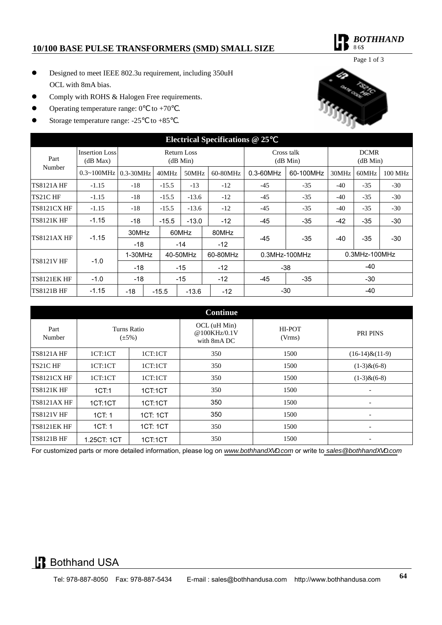### **10/100 BASE PULSE TRANSFORMERS (SMD) SMALL SIZE**

*BOTHHAND*   $MC$ 

Page 1 of 3

- Designed to meet IEEE 802.3u requirement, including 350uH OCL with 8mA bias.
- Comply with ROHS & Halogen Free requirements.
- Operating temperature range:  $0 \tto +70$ .
- Storage temperature range:  $-25$  to  $+85$ .



| <b>Electrical Specifications @ 25</b> |                                   |                                |         |          |         |          |                        |           |                         |       |         |
|---------------------------------------|-----------------------------------|--------------------------------|---------|----------|---------|----------|------------------------|-----------|-------------------------|-------|---------|
| Part<br>Number                        | <b>Insertion Loss</b><br>(dB Max) | <b>Return Loss</b><br>(dB Min) |         |          |         |          | Cross talk<br>(dB Min) |           | <b>DCMR</b><br>(dB Min) |       |         |
|                                       | $0.3 - 100$ MHz                   | $0.3 - 30MHz$                  |         | 40MHz    | 50MHz   | 60-80MHz | 0.3-60MHz              | 60-100MHz | 30MHz                   | 60MHz | 100 MHz |
| <b>TS8121AHF</b>                      | $-1.15$                           | $-18$                          |         | $-15.5$  | $-13$   | $-12$    | $-45$                  | $-35$     | $-40$                   | $-35$ | $-30$   |
| TS21C HF                              | $-1.15$                           | $-18$                          |         | $-15.5$  | $-13.6$ | $-12$    | $-45$                  | $-35$     | $-40$                   | $-35$ | $-30$   |
| <b>TS8121CX HF</b>                    | $-1.15$                           | $-18$                          |         | $-15.5$  | $-13.6$ | $-12$    | $-45$                  | $-35$     | $-40$                   | $-35$ | $-30$   |
| <b>TS8121K HF</b>                     | $-1.15$                           | $-18$                          |         | $-15.5$  | $-13.0$ | $-12$    | -45                    | $-35$     | $-42$                   | $-35$ | $-30$   |
| <b>TS8121AX HF</b>                    | $-1.15$                           | 30MHz                          |         |          | 60MHz   | 80MHz    | -45                    |           | $-40$                   |       | $-30$   |
|                                       |                                   | $-18$                          |         |          | $-14$   | $-12$    |                        | $-35$     |                         | $-35$ |         |
| <b>TS8121V HF</b>                     | $-1.0$                            | $1-30MHz$                      |         | 40-50MHz |         | 60-80MHz | $0.3$ MHz-100MHz       |           | $0.3$ MHz-100MHz        |       |         |
|                                       |                                   | $-18$                          |         |          | $-15$   | $-12$    | $-38$                  |           | $-40$                   |       |         |
| <b>TS8121EK HF</b>                    | $-1.0$                            | $-18$                          |         |          | $-15$   | $-12$    | -45                    | $-35$     |                         | $-30$ |         |
| <b>TS8121B HF</b>                     | $-1.15$                           | -18                            | $-15.5$ |          | $-13.6$ | $-12$    | $-30$                  |           | $-40$                   |       |         |

| <b>Continue</b>    |                            |          |                                             |                  |                          |  |  |
|--------------------|----------------------------|----------|---------------------------------------------|------------------|--------------------------|--|--|
| Part<br>Number     | Turns Ratio<br>$(\pm 5\%)$ |          | OCL (uH Min)<br>@100KHz/0.1V<br>with 8mA DC | HI-POT<br>(Vrms) | <b>PRI PINS</b>          |  |  |
| <b>TS8121AHF</b>   | 1CT:1CT                    | 1CT:1CT  | 350                                         | 1500             | $(16-14)$ & $(11-9)$     |  |  |
| TS21C HF           | 1CT:1CT                    | 1CT:1CT  | 350                                         | 1500             | $(1-3)$ & $(6-8)$        |  |  |
| <b>TS8121CX HF</b> | 1CT:1CT                    | 1CT:1CT  | 350                                         | 1500             | $(1-3)$ & $(6-8)$        |  |  |
| <b>TS8121K HF</b>  | 1CT:1                      | 1CT:1CT  | 350                                         | 1500             | $\overline{\phantom{a}}$ |  |  |
| <b>TS8121AX HF</b> | 1CT:1CT                    | 1CT:1CT  | 350                                         | 1500             | $\overline{\phantom{0}}$ |  |  |
| <b>TS8121V HF</b>  | 1CT: 1                     | 1CT: 1CT | 350                                         | 1500             | $\overline{\phantom{a}}$ |  |  |
| <b>TS8121EK HF</b> | 1CT: 1                     | 1CT: 1CT | 350                                         | 1500             |                          |  |  |
| <b>TS8121B HF</b>  | 1.25CT: 1CT                | 1CT:1CT  | 350                                         | 1500             | $\overline{\phantom{a}}$ |  |  |

For customized parts or more detailed information, please log on *www.bothhand*<sup>*\**</sup> accom or write to *sales@bothhand*<sup>\*</sup> • accom

# **B** Bothhand USA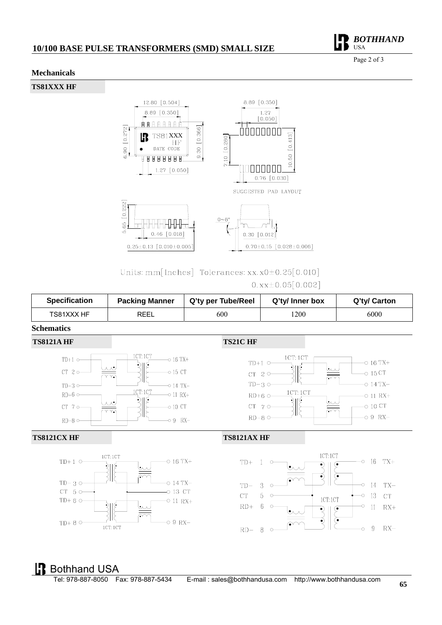## **10/100 BASE PULSE TRANSFORMERS (SMD) SMALL SIZE**



#### **Mechanicals**

**TS81XXX HF** 



## Units: mm[Inches] Tolerances: xx.  $x0\pm0.25$ [0.010]  $0.$ xx $\pm$ 0.05 $[0.002]$

| <b>Specification</b> | <b>Packing Manner</b> | Q'ty per Tube/Reel | Q'ty/ Inner box | Q'ty/ Carton |
|----------------------|-----------------------|--------------------|-----------------|--------------|
| TS81XXX HF           | <b>REEL</b>           | 600                | 1200            | 6000         |

#### **Schematics**



# Bothhand USA

 $\overline{8}$  $\mathcal{C}$